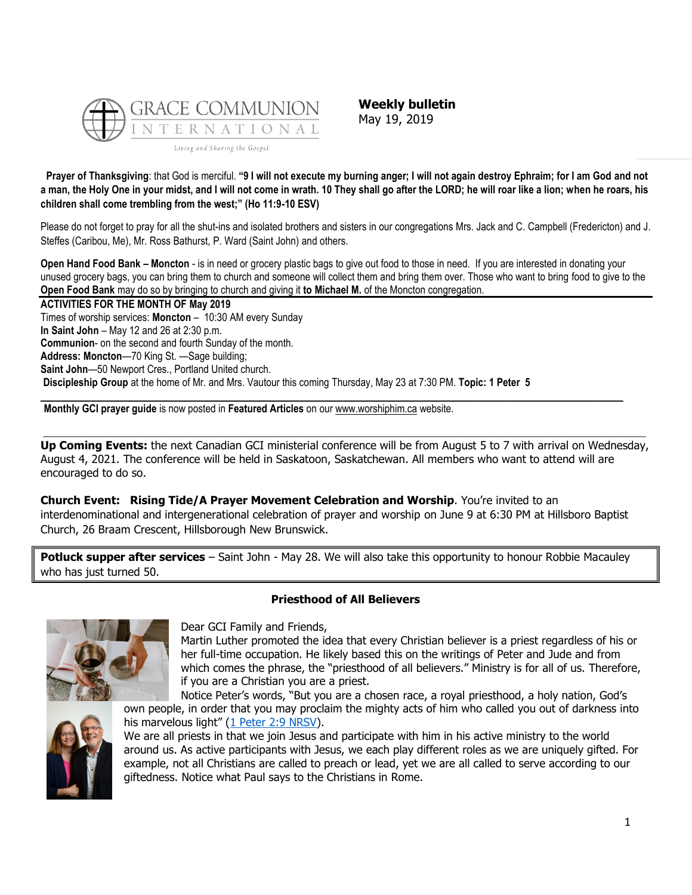

**Weekly bulletin** May 19, 2019

**Prayer of Thanksgiving**: that God is merciful. **"9 I will not execute my burning anger; I will not again destroy Ephraim; for I am God and not a man, the Holy One in your midst, and I will not come in wrath. 10 They shall go after the LORD; he will roar like a lion; when he roars, his children shall come trembling from the west;" (Ho 11:9-10 ESV)**

Please do not forget to pray for all the shut-ins and isolated brothers and sisters in our congregations Mrs. Jack and C. Campbell (Fredericton) and J. Steffes (Caribou, Me), Mr. Ross Bathurst, P. Ward (Saint John) and others.

**Open Hand Food Bank – Moncton** - is in need or grocery plastic bags to give out food to those in need. If you are interested in donating your unused grocery bags, you can bring them to church and someone will collect them and bring them over. Those who want to bring food to give to the **Open Food Bank** may do so by bringing to church and giving it **to Michael M.** of the Moncton congregation.

**ACTIVITIES FOR THE MONTH OF May 2019** Times of worship services: **Moncton** – 10:30 AM every Sunday **In Saint John** – May 12 and 26 at 2:30 p.m. **Communion**- on the second and fourth Sunday of the month. **Address: Moncton**—70 King St. —Sage building; **Saint John**—50 Newport Cres., Portland United church. **Discipleship Group** at the home of Mr. and Mrs. Vautour this coming Thursday, May 23 at 7:30 PM. **Topic: 1 Peter 5 \_\_\_\_\_\_\_\_\_\_\_\_\_\_\_\_\_\_\_\_\_\_\_\_\_\_\_\_\_\_\_\_\_\_\_\_\_\_\_\_\_\_\_\_\_\_\_\_\_\_\_\_\_\_\_\_\_\_\_\_\_\_\_\_\_\_\_\_\_\_\_\_\_\_\_\_\_\_\_\_\_**

**Monthly GCI prayer guide** is now posted in **Featured Articles** on our [www.worshiphim.ca](http://www.worshiphim.ca/) website.

 $\Box$ **Up Coming Events:** the next Canadian GCI ministerial conference will be from August 5 to 7 with arrival on Wednesday, August 4, 2021. The conference will be held in Saskatoon, Saskatchewan. All members who want to attend will are encouraged to do so.

**Church Event: Rising Tide/A Prayer Movement Celebration and Worship**. You're invited to an interdenominational and intergenerational celebration of prayer and worship on June 9 at 6:30 PM at Hillsboro Baptist Church, 26 Braam Crescent, Hillsborough New Brunswick.

**Potluck supper after services** – Saint John - May 28. We will also take this opportunity to honour Robbie Macauley who has just turned 50.

# **Priesthood of All Believers**



Dear GCI Family and Friends,

Martin Luther promoted the idea that every Christian believer is a priest regardless of his or her full-time occupation. He likely based this on the writings of Peter and Jude and from which comes the phrase, the "priesthood of all believers." Ministry is for all of us. Therefore, if you are a Christian you are a priest.

Notice Peter's words, "But you are a chosen race, a royal priesthood, a holy nation, God's own people, in order that you may proclaim the mighty acts of him who called you out of darkness into his marvelous light" ([1 Peter 2:9 NRSV\)](https://biblia.com/bible/nrsv/1%20Pet%202.9).



We are all priests in that we join Jesus and participate with him in his active ministry to the world around us. As active participants with Jesus, we each play different roles as we are uniquely gifted. For example, not all Christians are called to preach or lead, yet we are all called to serve according to our giftedness. Notice what Paul says to the Christians in Rome.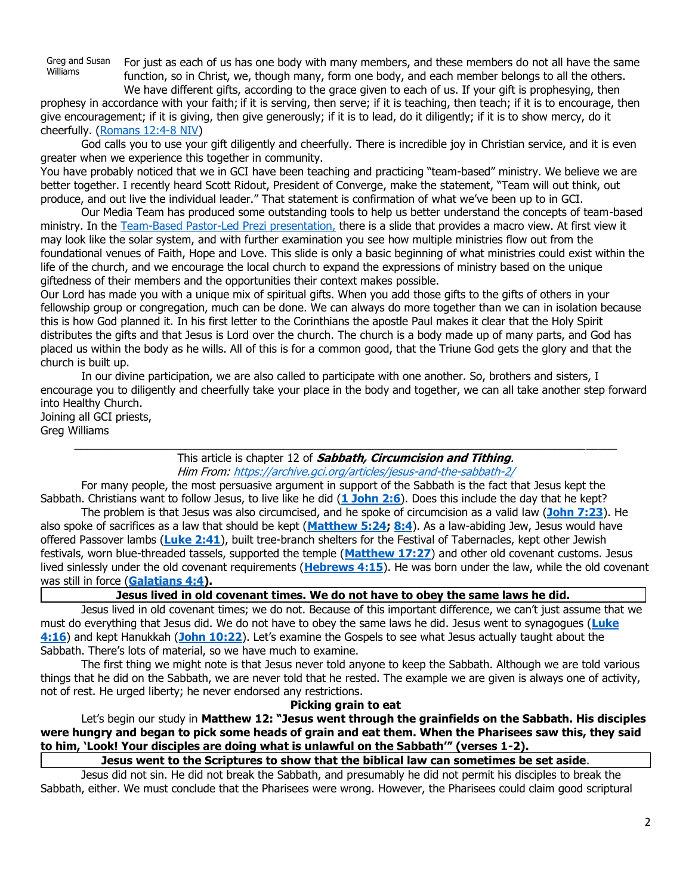Greg and Susan Williams

For just as each of us has one body with many members, and these members do not all have the same function, so in Christ, we, though many, form one body, and each member belongs to all the others. We have different gifts, according to the grace given to each of us. If your gift is prophesying, then

prophesy in accordance with your faith; if it is serving, then serve; if it is teaching, then teach; if it is to encourage, then give encouragement; if it is giving, then give generously; if it is to lead, do it diligently; if it is to show mercy, do it cheerfully. [\(Romans 12:4-8 NIV\)](https://biblia.com/bible/niv/Rom%2012.4-8)

God calls you to use your gift diligently and cheerfully. There is incredible joy in Christian service, and it is even greater when we experience this together in community.

You have probably noticed that we in GCI have been teaching and practicing "team-based" ministry. We believe we are better together. I recently heard Scott Ridout, President of Converge, make the statement, "Team will out think, out produce, and out live the individual leader." That statement is confirmation of what we've been up to in GCI.

Our Media Team has produced some outstanding tools to help us better understand the concepts of team-based ministry. In the [Team-Based Pastor-Led Prezi presentation,](https://prezi.com/p/dm-yqqeep286/team-based-pastor-led/) there is a slide that provides a macro view. At first view it may look like the solar system, and with further examination you see how multiple ministries flow out from the foundational venues of Faith, Hope and Love. This slide is only a basic beginning of what ministries could exist within the life of the church, and we encourage the local church to expand the expressions of ministry based on the unique giftedness of their members and the opportunities their context makes possible.

Our Lord has made you with a unique mix of spiritual gifts. When you add those gifts to the gifts of others in your fellowship group or congregation, much can be done. We can always do more together than we can in isolation because this is how God planned it. In his first letter to the Corinthians the apostle Paul makes it clear that the Holy Spirit distributes the gifts and that Jesus is Lord over the church. The church is a body made up of many parts, and God has placed us within the body as he wills. All of this is for a common good, that the Triune God gets the glory and that the church is built up.

In our divine participation, we are also called to participate with one another. So, brothers and sisters, I encourage you to diligently and cheerfully take your place in the body and together, we can all take another step forward into Healthy Church.

Joining all GCI priests, Greg Williams

> $\_$  , and the set of the set of the set of the set of the set of the set of the set of the set of the set of the set of the set of the set of the set of the set of the set of the set of the set of the set of the set of th This article is chapter 12 of **Sabbath, Circumcision and Tithing**. Him From: <https://archive.gci.org/articles/jesus-and-the-sabbath-2/>

For many people, the most persuasive argument in support of the Sabbath is the fact that Jesus kept the Sabbath. Christians want to follow Jesus, to live like he did (**[1 John 2:6](https://biblia.com/bible/niv/1%20John%202.6)**). Does this include the day that he kept?

The problem is that Jesus was also circumcised, and he spoke of circumcision as a valid law (**[John 7:23](https://biblia.com/bible/niv/John%207.23)**). He also spoke of sacrifices as a law that should be kept (**[Matthew 5:24;](https://biblia.com/bible/niv/Matt%205.24) [8:4](https://biblia.com/bible/niv/Matthew%208.4)**). As a law-abiding Jew, Jesus would have offered Passover lambs (**[Luke 2:41](https://biblia.com/bible/niv/Luke%202.41)**), built tree-branch shelters for the Festival of Tabernacles, kept other Jewish festivals, worn blue-threaded tassels, supported the temple (**[Matthew 17:27](https://biblia.com/bible/niv/Matt%2017.27)**) and other old covenant customs. Jesus lived sinlessly under the old covenant requirements (**[Hebrews 4:15](https://biblia.com/bible/niv/Heb%204.15)**). He was born under the law, while the old covenant was still in force (**[Galatians 4:4\)](https://biblia.com/bible/niv/Gal%204.4).**

**Jesus lived in old covenant times. We do not have to obey the same laws he did.**

Jesus lived in old covenant times; we do not. Because of this important difference, we can't just assume that we must do everything that Jesus did. We do not have to obey the same laws he did. Jesus went to synagogues (**[Luke](https://biblia.com/bible/niv/Luke%204.16)  [4:16](https://biblia.com/bible/niv/Luke%204.16)**) and kept Hanukkah (**[John 10:22](https://biblia.com/bible/niv/John%2010.22)**). Let's examine the Gospels to see what Jesus actually taught about the Sabbath. There's lots of material, so we have much to examine.

The first thing we might note is that Jesus never told anyone to keep the Sabbath. Although we are told various things that he did on the Sabbath, we are never told that he rested. The example we are given is always one of activity, not of rest. He urged liberty; he never endorsed any restrictions.

## **Picking grain to eat**

Let's begin our study in **Matthew 12: "Jesus went through the grainfields on the Sabbath. His disciples were hungry and began to pick some heads of grain and eat them. When the Pharisees saw this, they said to him, 'Look! Your disciples are doing what is unlawful on the Sabbath'" (verses 1-2).**

**Jesus went to the Scriptures to show that the biblical law can sometimes be set aside**.

Jesus did not sin. He did not break the Sabbath, and presumably he did not permit his disciples to break the Sabbath, either. We must conclude that the Pharisees were wrong. However, the Pharisees could claim good scriptural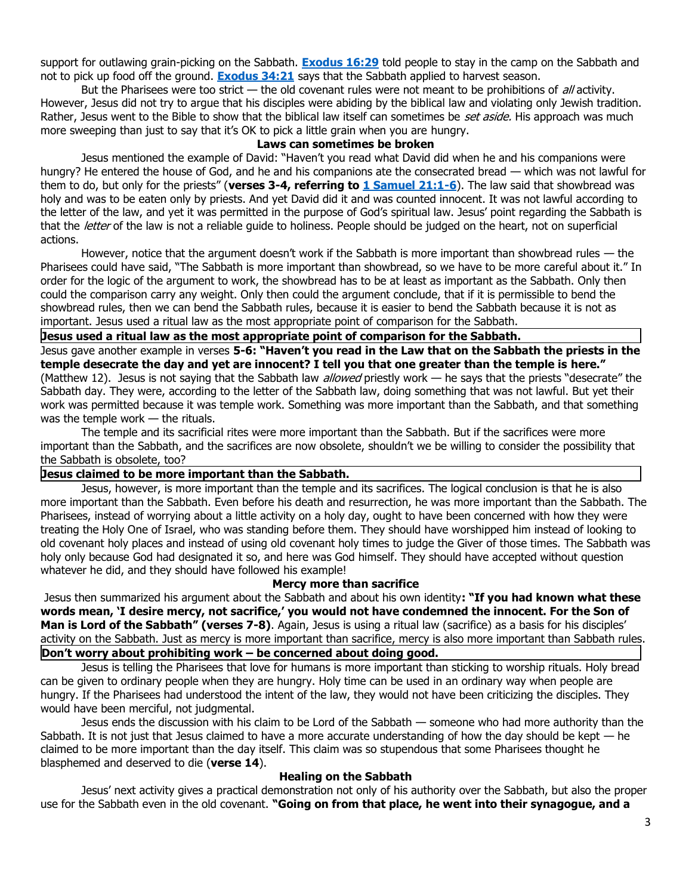support for outlawing grain-picking on the Sabbath. **[Exodus 16:29](https://biblia.com/bible/niv/Exod%2016.29)** told people to stay in the camp on the Sabbath and not to pick up food off the ground. **[Exodus 34:21](https://biblia.com/bible/niv/Exod%2034.21)** says that the Sabbath applied to harvest season.

But the Pharisees were too strict  $-$  the old covenant rules were not meant to be prohibitions of  $d$ , activity. However, Jesus did not try to argue that his disciples were abiding by the biblical law and violating only Jewish tradition. Rather, Jesus went to the Bible to show that the biblical law itself can sometimes be set aside. His approach was much more sweeping than just to say that it's OK to pick a little grain when you are hungry.

#### **Laws can sometimes be broken**

Jesus mentioned the example of David: "Haven't you read what David did when he and his companions were hungry? He entered the house of God, and he and his companions ate the consecrated bread — which was not lawful for them to do, but only for the priests" (**verses 3-4, referring to [1 Samuel 21:1-6](https://biblia.com/bible/niv/1%20Sam%2021.1-6)**). The law said that showbread was holy and was to be eaten only by priests. And yet David did it and was counted innocent. It was not lawful according to the letter of the law, and yet it was permitted in the purpose of God's spiritual law. Jesus' point regarding the Sabbath is that the *letter* of the law is not a reliable guide to holiness. People should be judged on the heart, not on superficial actions.

However, notice that the argument doesn't work if the Sabbath is more important than showbread rules — the Pharisees could have said, "The Sabbath is more important than showbread, so we have to be more careful about it." In order for the logic of the argument to work, the showbread has to be at least as important as the Sabbath. Only then could the comparison carry any weight. Only then could the argument conclude, that if it is permissible to bend the showbread rules, then we can bend the Sabbath rules, because it is easier to bend the Sabbath because it is not as important. Jesus used a ritual law as the most appropriate point of comparison for the Sabbath.

**Jesus used a ritual law as the most appropriate point of comparison for the Sabbath.**

Jesus gave another example in verses **5-6: "Haven't you read in the Law that on the Sabbath the priests in the temple desecrate the day and yet are innocent? I tell you that one greater than the temple is here."**

(Matthew 12). Jesus is not saying that the Sabbath law *allowed* priestly work — he says that the priests "desecrate" the Sabbath day. They were, according to the letter of the Sabbath law, doing something that was not lawful. But yet their work was permitted because it was temple work. Something was more important than the Sabbath, and that something was the temple work — the rituals.

The temple and its sacrificial rites were more important than the Sabbath. But if the sacrifices were more important than the Sabbath, and the sacrifices are now obsolete, shouldn't we be willing to consider the possibility that the Sabbath is obsolete, too?

## **Jesus claimed to be more important than the Sabbath.**

Jesus, however, is more important than the temple and its sacrifices. The logical conclusion is that he is also more important than the Sabbath. Even before his death and resurrection, he was more important than the Sabbath. The Pharisees, instead of worrying about a little activity on a holy day, ought to have been concerned with how they were treating the Holy One of Israel, who was standing before them. They should have worshipped him instead of looking to old covenant holy places and instead of using old covenant holy times to judge the Giver of those times. The Sabbath was holy only because God had designated it so, and here was God himself. They should have accepted without question whatever he did, and they should have followed his example!

#### **Mercy more than sacrifice**

Jesus then summarized his argument about the Sabbath and about his own identity**: "If you had known what these words mean, 'I desire mercy, not sacrifice,' you would not have condemned the innocent. For the Son of Man is Lord of the Sabbath" (verses 7-8)**. Again, Jesus is using a ritual law (sacrifice) as a basis for his disciples' activity on the Sabbath. Just as mercy is more important than sacrifice, mercy is also more important than Sabbath rules. **Don't worry about prohibiting work – be concerned about doing good.**

Jesus is telling the Pharisees that love for humans is more important than sticking to worship rituals. Holy bread can be given to ordinary people when they are hungry. Holy time can be used in an ordinary way when people are hungry. If the Pharisees had understood the intent of the law, they would not have been criticizing the disciples. They would have been merciful, not judgmental.

Jesus ends the discussion with his claim to be Lord of the Sabbath — someone who had more authority than the Sabbath. It is not just that Jesus claimed to have a more accurate understanding of how the day should be kept  $-$  he claimed to be more important than the day itself. This claim was so stupendous that some Pharisees thought he blasphemed and deserved to die (**verse 14**).

# **Healing on the Sabbath**

Jesus' next activity gives a practical demonstration not only of his authority over the Sabbath, but also the proper use for the Sabbath even in the old covenant. **"Going on from that place, he went into their synagogue, and a**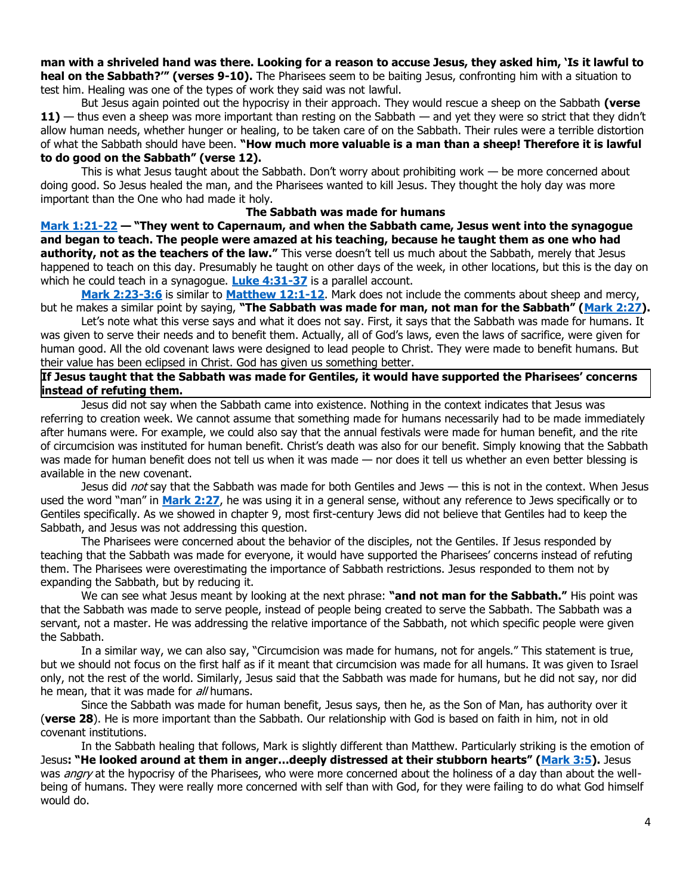**man with a shriveled hand was there. Looking for a reason to accuse Jesus, they asked him, 'Is it lawful to heal on the Sabbath?'" (verses 9-10).** The Pharisees seem to be baiting Jesus, confronting him with a situation to test him. Healing was one of the types of work they said was not lawful.

But Jesus again pointed out the hypocrisy in their approach. They would rescue a sheep on the Sabbath **(verse 11)** — thus even a sheep was more important than resting on the Sabbath — and yet they were so strict that they didn't allow human needs, whether hunger or healing, to be taken care of on the Sabbath. Their rules were a terrible distortion of what the Sabbath should have been. **"How much more valuable is a man than a sheep! Therefore it is lawful to do good on the Sabbath" (verse 12).**

This is what Jesus taught about the Sabbath. Don't worry about prohibiting work — be more concerned about doing good. So Jesus healed the man, and the Pharisees wanted to kill Jesus. They thought the holy day was more important than the One who had made it holy.

#### **The Sabbath was made for humans**

**[Mark 1:21-22](https://biblia.com/bible/niv/Mark%201.21-22) — "They went to Capernaum, and when the Sabbath came, Jesus went into the synagogue and began to teach. The people were amazed at his teaching, because he taught them as one who had authority, not as the teachers of the law."** This verse doesn't tell us much about the Sabbath, merely that Jesus happened to teach on this day. Presumably he taught on other days of the week, in other locations, but this is the day on which he could teach in a synagogue. **[Luke 4:31-37](https://biblia.com/bible/niv/Luke%204.31-37)** is a parallel account.

**[Mark 2:23-3:6](https://biblia.com/bible/niv/Mark%202.23-3.6)** is similar to **[Matthew 12:1-12](https://biblia.com/bible/niv/Matt%2012.1-12)**. Mark does not include the comments about sheep and mercy, but he makes a similar point by saying, **"The Sabbath was made for man, not man for the Sabbath" ([Mark 2:27\)](https://biblia.com/bible/niv/Mark%202.27).**

Let's note what this verse says and what it does not say. First, it says that the Sabbath was made for humans. It was given to serve their needs and to benefit them. Actually, all of God's laws, even the laws of sacrifice, were given for human good. All the old covenant laws were designed to lead people to Christ. They were made to benefit humans. But their value has been eclipsed in Christ. God has given us something better.

## **If Jesus taught that the Sabbath was made for Gentiles, it would have supported the Pharisees' concerns instead of refuting them.**

Jesus did not say when the Sabbath came into existence. Nothing in the context indicates that Jesus was referring to creation week. We cannot assume that something made for humans necessarily had to be made immediately after humans were. For example, we could also say that the annual festivals were made for human benefit, and the rite of circumcision was instituted for human benefit. Christ's death was also for our benefit. Simply knowing that the Sabbath was made for human benefit does not tell us when it was made — nor does it tell us whether an even better blessing is available in the new covenant.

Jesus did not say that the Sabbath was made for both Gentiles and Jews — this is not in the context. When Jesus used the word "man" in **[Mark 2:27](https://biblia.com/bible/niv/Mark%202.27)**, he was using it in a general sense, without any reference to Jews specifically or to Gentiles specifically. As we showed in chapter 9, most first-century Jews did not believe that Gentiles had to keep the Sabbath, and Jesus was not addressing this question.

The Pharisees were concerned about the behavior of the disciples, not the Gentiles. If Jesus responded by teaching that the Sabbath was made for everyone, it would have supported the Pharisees' concerns instead of refuting them. The Pharisees were overestimating the importance of Sabbath restrictions. Jesus responded to them not by expanding the Sabbath, but by reducing it.

We can see what Jesus meant by looking at the next phrase: **"and not man for the Sabbath."** His point was that the Sabbath was made to serve people, instead of people being created to serve the Sabbath. The Sabbath was a servant, not a master. He was addressing the relative importance of the Sabbath, not which specific people were given the Sabbath.

In a similar way, we can also say, "Circumcision was made for humans, not for angels." This statement is true, but we should not focus on the first half as if it meant that circumcision was made for all humans. It was given to Israel only, not the rest of the world. Similarly, Jesus said that the Sabbath was made for humans, but he did not say, nor did he mean, that it was made for all humans.

Since the Sabbath was made for human benefit, Jesus says, then he, as the Son of Man, has authority over it (**verse 28**). He is more important than the Sabbath. Our relationship with God is based on faith in him, not in old covenant institutions.

In the Sabbath healing that follows, Mark is slightly different than Matthew. Particularly striking is the emotion of Jesus**: "He looked around at them in anger…deeply distressed at their stubborn hearts" ([Mark 3:5\)](https://biblia.com/bible/niv/Mark%203.5).** Jesus was *angry* at the hypocrisy of the Pharisees, who were more concerned about the holiness of a day than about the wellbeing of humans. They were really more concerned with self than with God, for they were failing to do what God himself would do.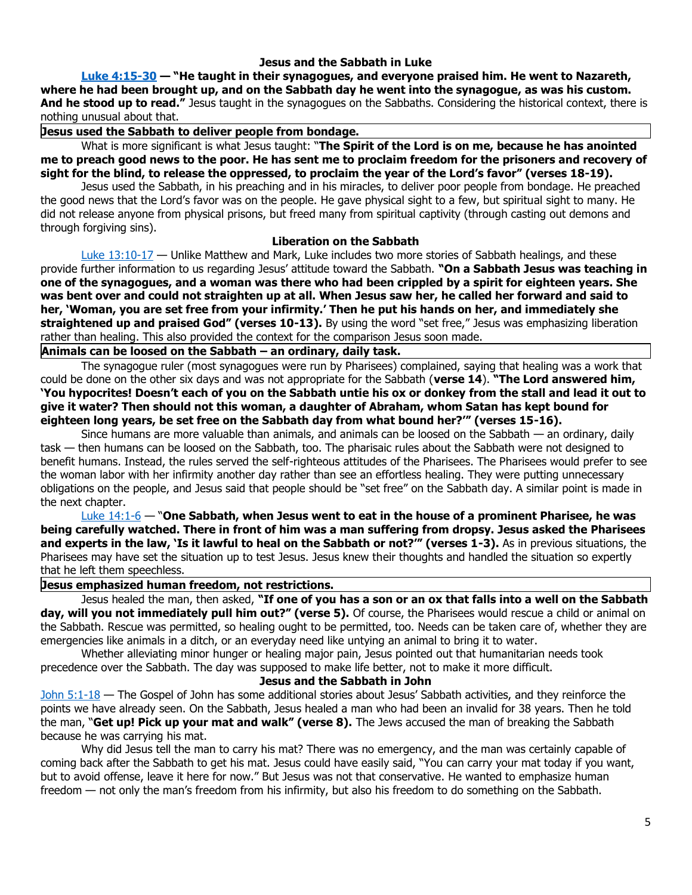## **Jesus and the Sabbath in Luke**

**[Luke 4:15-30](https://biblia.com/bible/niv/Luke%204.15-30) — "He taught in their synagogues, and everyone praised him. He went to Nazareth, where he had been brought up, and on the Sabbath day he went into the synagogue, as was his custom. And he stood up to read."** Jesus taught in the synagogues on the Sabbaths. Considering the historical context, there is nothing unusual about that.

**Jesus used the Sabbath to deliver people from bondage.**

What is more significant is what Jesus taught: "**The Spirit of the Lord is on me, because he has anointed me to preach good news to the poor. He has sent me to proclaim freedom for the prisoners and recovery of sight for the blind, to release the oppressed, to proclaim the year of the Lord's favor" (verses 18-19).**

Jesus used the Sabbath, in his preaching and in his miracles, to deliver poor people from bondage. He preached the good news that the Lord's favor was on the people. He gave physical sight to a few, but spiritual sight to many. He did not release anyone from physical prisons, but freed many from spiritual captivity (through casting out demons and through forgiving sins).

#### **Liberation on the Sabbath**

 $Luke$  13:10-17  $-$  Unlike Matthew and Mark, Luke includes two more stories of Sabbath healings, and these provide further information to us regarding Jesus' attitude toward the Sabbath. **"On a Sabbath Jesus was teaching in one of the synagogues, and a woman was there who had been crippled by a spirit for eighteen years. She was bent over and could not straighten up at all. When Jesus saw her, he called her forward and said to her, 'Woman, you are set free from your infirmity.' Then he put his hands on her, and immediately she straightened up and praised God" (verses 10-13).** By using the word "set free," Jesus was emphasizing liberation rather than healing. This also provided the context for the comparison Jesus soon made.

**Animals can be loosed on the Sabbath – an ordinary, daily task.**

The synagogue ruler (most synagogues were run by Pharisees) complained, saying that healing was a work that could be done on the other six days and was not appropriate for the Sabbath (**verse 14**). **"The Lord answered him, 'You hypocrites! Doesn't each of you on the Sabbath untie his ox or donkey from the stall and lead it out to give it water? Then should not this woman, a daughter of Abraham, whom Satan has kept bound for eighteen long years, be set free on the Sabbath day from what bound her?'" (verses 15-16).**

Since humans are more valuable than animals, and animals can be loosed on the Sabbath — an ordinary, daily task — then humans can be loosed on the Sabbath, too. The pharisaic rules about the Sabbath were not designed to benefit humans. Instead, the rules served the self-righteous attitudes of the Pharisees. The Pharisees would prefer to see the woman labor with her infirmity another day rather than see an effortless healing. They were putting unnecessary obligations on the people, and Jesus said that people should be "set free" on the Sabbath day. A similar point is made in the next chapter.

[Luke 14:1-6](https://biblia.com/bible/niv/Luke%2014.1-6) — "**One Sabbath, when Jesus went to eat in the house of a prominent Pharisee, he was being carefully watched. There in front of him was a man suffering from dropsy. Jesus asked the Pharisees and experts in the law, 'Is it lawful to heal on the Sabbath or not?'" (verses 1-3).** As in previous situations, the Pharisees may have set the situation up to test Jesus. Jesus knew their thoughts and handled the situation so expertly that he left them speechless.

## **Jesus emphasized human freedom, not restrictions.**

Jesus healed the man, then asked, **"If one of you has a son or an ox that falls into a well on the Sabbath day, will you not immediately pull him out?" (verse 5).** Of course, the Pharisees would rescue a child or animal on the Sabbath. Rescue was permitted, so healing ought to be permitted, too. Needs can be taken care of, whether they are emergencies like animals in a ditch, or an everyday need like untying an animal to bring it to water.

Whether alleviating minor hunger or healing major pain, Jesus pointed out that humanitarian needs took precedence over the Sabbath. The day was supposed to make life better, not to make it more difficult.

#### **Jesus and the Sabbath in John**

[John 5:1-18](https://biblia.com/bible/niv/John%205.1-18) — The Gospel of John has some additional stories about Jesus' Sabbath activities, and they reinforce the points we have already seen. On the Sabbath, Jesus healed a man who had been an invalid for 38 years. Then he told the man, "**Get up! Pick up your mat and walk" (verse 8).** The Jews accused the man of breaking the Sabbath because he was carrying his mat.

Why did Jesus tell the man to carry his mat? There was no emergency, and the man was certainly capable of coming back after the Sabbath to get his mat. Jesus could have easily said, "You can carry your mat today if you want, but to avoid offense, leave it here for now." But Jesus was not that conservative. He wanted to emphasize human freedom — not only the man's freedom from his infirmity, but also his freedom to do something on the Sabbath.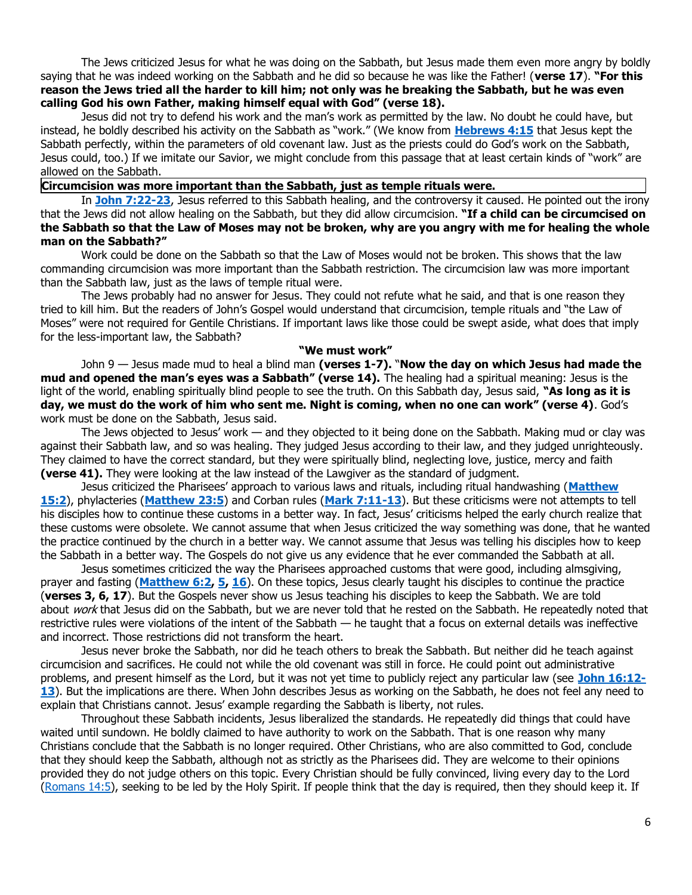The Jews criticized Jesus for what he was doing on the Sabbath, but Jesus made them even more angry by boldly saying that he was indeed working on the Sabbath and he did so because he was like the Father! (**verse 17**). **"For this reason the Jews tried all the harder to kill him; not only was he breaking the Sabbath, but he was even calling God his own Father, making himself equal with God" (verse 18).** 

Jesus did not try to defend his work and the man's work as permitted by the law. No doubt he could have, but instead, he boldly described his activity on the Sabbath as "work." (We know from **[Hebrews 4:15](https://biblia.com/bible/niv/Heb%204.15)** that Jesus kept the Sabbath perfectly, within the parameters of old covenant law. Just as the priests could do God's work on the Sabbath, Jesus could, too.) If we imitate our Savior, we might conclude from this passage that at least certain kinds of "work" are allowed on the Sabbath.

# **Circumcision was more important than the Sabbath, just as temple rituals were.**

In **[John 7:22-23](https://biblia.com/bible/niv/John%207.22-23)**, Jesus referred to this Sabbath healing, and the controversy it caused. He pointed out the irony that the Jews did not allow healing on the Sabbath, but they did allow circumcision. **"If a child can be circumcised on the Sabbath so that the Law of Moses may not be broken, why are you angry with me for healing the whole man on the Sabbath?"**

Work could be done on the Sabbath so that the Law of Moses would not be broken. This shows that the law commanding circumcision was more important than the Sabbath restriction. The circumcision law was more important than the Sabbath law, just as the laws of temple ritual were.

The Jews probably had no answer for Jesus. They could not refute what he said, and that is one reason they tried to kill him. But the readers of John's Gospel would understand that circumcision, temple rituals and "the Law of Moses" were not required for Gentile Christians. If important laws like those could be swept aside, what does that imply for the less-important law, the Sabbath?

#### **"We must work"**

John 9 — Jesus made mud to heal a blind man **(verses 1-7).** "**Now the day on which Jesus had made the mud and opened the man's eyes was a Sabbath" (verse 14).** The healing had a spiritual meaning: Jesus is the light of the world, enabling spiritually blind people to see the truth. On this Sabbath day, Jesus said, **"As long as it is day, we must do the work of him who sent me. Night is coming, when no one can work" (verse 4)**. God's work must be done on the Sabbath, Jesus said.

The Jews objected to Jesus' work — and they objected to it being done on the Sabbath. Making mud or clay was against their Sabbath law, and so was healing. They judged Jesus according to their law, and they judged unrighteously. They claimed to have the correct standard, but they were spiritually blind, neglecting love, justice, mercy and faith **(verse 41).** They were looking at the law instead of the Lawgiver as the standard of judgment.

Jesus criticized the Pharisees' approach to various laws and rituals, including ritual handwashing (**[Matthew](https://biblia.com/bible/niv/Matt%2015.2)  [15:2](https://biblia.com/bible/niv/Matt%2015.2)**), phylacteries (**[Matthew 23:5](https://biblia.com/bible/niv/Matt%2023.5)**) and Corban rules (**[Mark 7:11-13](https://biblia.com/bible/niv/Mark%207.11-13)**). But these criticisms were not attempts to tell his disciples how to continue these customs in a better way. In fact, Jesus' criticisms helped the early church realize that these customs were obsolete. We cannot assume that when Jesus criticized the way something was done, that he wanted the practice continued by the church in a better way. We cannot assume that Jesus was telling his disciples how to keep the Sabbath in a better way. The Gospels do not give us any evidence that he ever commanded the Sabbath at all.

Jesus sometimes criticized the way the Pharisees approached customs that were good, including almsgiving, prayer and fasting (**[Matthew 6:2,](https://biblia.com/bible/niv/Matt%206.2) [5,](https://biblia.com/bible/niv/Matthew%206.5) [16](https://biblia.com/bible/niv/Matthew%206.16)**). On these topics, Jesus clearly taught his disciples to continue the practice (**verses 3, 6, 17**). But the Gospels never show us Jesus teaching his disciples to keep the Sabbath. We are told about work that Jesus did on the Sabbath, but we are never told that he rested on the Sabbath. He repeatedly noted that restrictive rules were violations of the intent of the Sabbath — he taught that a focus on external details was ineffective and incorrect. Those restrictions did not transform the heart.

Jesus never broke the Sabbath, nor did he teach others to break the Sabbath. But neither did he teach against circumcision and sacrifices. He could not while the old covenant was still in force. He could point out administrative problems, and present himself as the Lord, but it was not yet time to publicly reject any particular law (see **[John 16:12-](https://biblia.com/bible/niv/John%2016.12-13) [13](https://biblia.com/bible/niv/John%2016.12-13)**). But the implications are there. When John describes Jesus as working on the Sabbath, he does not feel any need to explain that Christians cannot. Jesus' example regarding the Sabbath is liberty, not rules.

Throughout these Sabbath incidents, Jesus liberalized the standards. He repeatedly did things that could have waited until sundown. He boldly claimed to have authority to work on the Sabbath. That is one reason why many Christians conclude that the Sabbath is no longer required. Other Christians, who are also committed to God, conclude that they should keep the Sabbath, although not as strictly as the Pharisees did. They are welcome to their opinions provided they do not judge others on this topic. Every Christian should be fully convinced, living every day to the Lord [\(Romans 14:5\)](https://biblia.com/bible/niv/Rom%2014.5), seeking to be led by the Holy Spirit. If people think that the day is required, then they should keep it. If